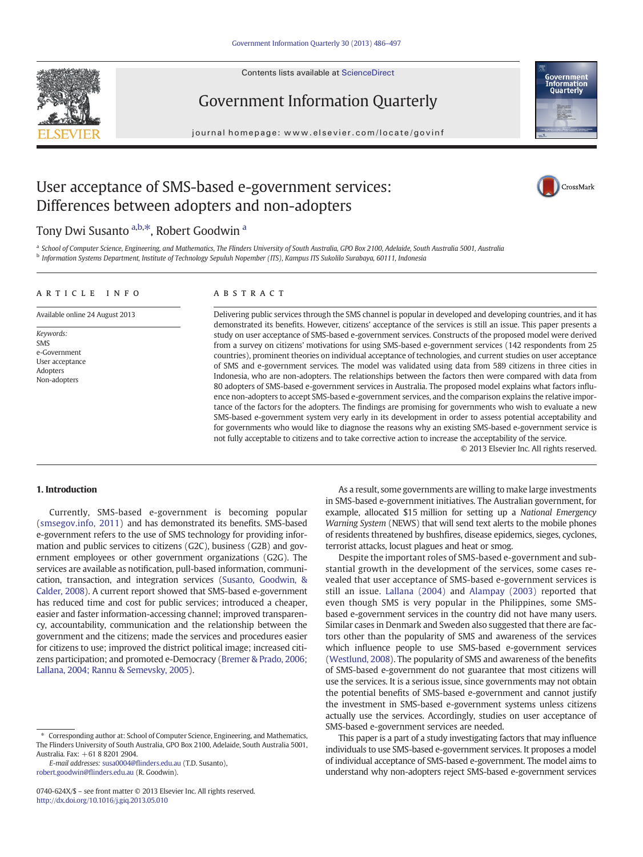Contents lists available at ScienceDirect





## Government Information Quarterly

journal homepage: www.elsevier.com/locate/govinf

## User acceptance of SMS-based e-government services: Differences between adopters and non-adopters

# CrossMark

## Tony Dwi Susanto <sup>a,b,\*</sup>, Robert Goodwin <sup>a</sup>

a School of Computer Science, Engineering, and Mathematics, The Flinders University of South Australia, GPO Box 2100, Adelaide, South Australia 5001, Australia <sup>b</sup> Information Systems Department, Institute of Technology Sepuluh Nopember (ITS), Kampus ITS Sukolilo Surabaya, 60111, Indonesia

#### ARTICLE INFO ABSTRACT

Available online 24 August 2013

Keywords: SMS e-Government User acceptance Adopters Non-adopters

Delivering public services through the SMS channel is popular in developed and developing countries, and it has demonstrated its benefits. However, citizens' acceptance of the services is still an issue. This paper presents a study on user acceptance of SMS-based e-government services. Constructs of the proposed model were derived from a survey on citizens' motivations for using SMS-based e-government services (142 respondents from 25 countries), prominent theories on individual acceptance of technologies, and current studies on user acceptance of SMS and e-government services. The model was validated using data from 589 citizens in three cities in Indonesia, who are non-adopters. The relationships between the factors then were compared with data from 80 adopters of SMS-based e-government services in Australia. The proposed model explains what factors influence non-adopters to accept SMS-based e-government services, and the comparison explains the relative importance of the factors for the adopters. The findings are promising for governments who wish to evaluate a new SMS-based e-government system very early in its development in order to assess potential acceptability and for governments who would like to diagnose the reasons why an existing SMS-based e-government service is not fully acceptable to citizens and to take corrective action to increase the acceptability of the service.

© 2013 Elsevier Inc. All rights reserved.

### 1. Introduction

Currently, SMS-based e-government is becoming popular [\(smsegov.info, 2011\)](#page--1-0) and has demonstrated its benefits. SMS-based e-government refers to the use of SMS technology for providing information and public services to citizens (G2C), business (G2B) and government employees or other government organizations (G2G). The services are available as notification, pull-based information, communication, transaction, and integration services [\(Susanto, Goodwin, &](#page--1-0) [Calder, 2008](#page--1-0)). A current report showed that SMS-based e-government has reduced time and cost for public services; introduced a cheaper, easier and faster information-accessing channel; improved transparency, accountability, communication and the relationship between the government and the citizens; made the services and procedures easier for citizens to use; improved the district political image; increased citizens participation; and promoted e-Democracy [\(Bremer & Prado, 2006;](#page--1-0) [Lallana, 2004; Rannu & Semevsky, 2005\)](#page--1-0).

As a result, some governments are willing to make large investments in SMS-based e-government initiatives. The Australian government, for example, allocated \$15 million for setting up a National Emergency Warning System (NEWS) that will send text alerts to the mobile phones of residents threatened by bushfires, disease epidemics, sieges, cyclones, terrorist attacks, locust plagues and heat or smog.

Despite the important roles of SMS-based e-government and substantial growth in the development of the services, some cases revealed that user acceptance of SMS-based e-government services is still an issue. [Lallana \(2004\)](#page--1-0) and [Alampay \(2003\)](#page--1-0) reported that even though SMS is very popular in the Philippines, some SMSbased e-government services in the country did not have many users. Similar cases in Denmark and Sweden also suggested that there are factors other than the popularity of SMS and awareness of the services which influence people to use SMS-based e-government services [\(Westlund, 2008](#page--1-0)). The popularity of SMS and awareness of the benefits of SMS-based e-government do not guarantee that most citizens will use the services. It is a serious issue, since governments may not obtain the potential benefits of SMS-based e-government and cannot justify the investment in SMS-based e-government systems unless citizens actually use the services. Accordingly, studies on user acceptance of SMS-based e-government services are needed.

This paper is a part of a study investigating factors that may influence individuals to use SMS-based e-government services. It proposes a model of individual acceptance of SMS-based e-government. The model aims to understand why non-adopters reject SMS-based e-government services

<sup>⁎</sup> Corresponding author at: School of Computer Science, Engineering, and Mathematics, The Flinders University of South Australia, GPO Box 2100, Adelaide, South Australia 5001, Australia. Fax: +61 8 8201 2904.

E-mail addresses: susa0004@fl[inders.edu.au](mailto:susa0004@flinders.edu.au) (T.D. Susanto), [robert.goodwin@](mailto:robert.goodwin@flinders.edu.au)flinders.edu.au (R. Goodwin).

<sup>0740-624</sup>X/\$ – see front matter © 2013 Elsevier Inc. All rights reserved. <http://dx.doi.org/10.1016/j.giq.2013.05.010>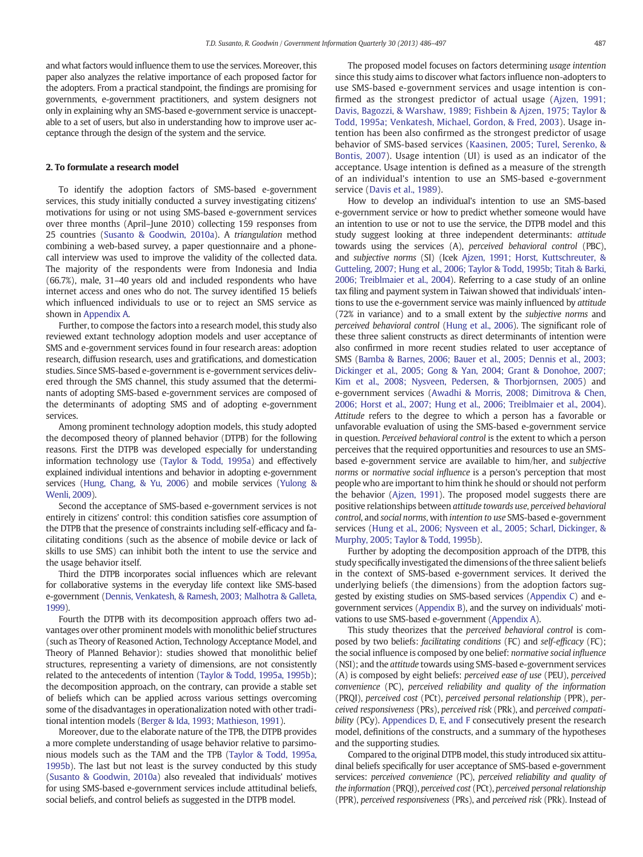and what factors would influence them to use the services. Moreover, this paper also analyzes the relative importance of each proposed factor for the adopters. From a practical standpoint, the findings are promising for governments, e-government practitioners, and system designers not only in explaining why an SMS-based e-government service is unacceptable to a set of users, but also in understanding how to improve user acceptance through the design of the system and the service.

#### 2. To formulate a research model

To identify the adoption factors of SMS-based e-government services, this study initially conducted a survey investigating citizens' motivations for using or not using SMS-based e-government services over three months (April–June 2010) collecting 159 responses from 25 countries [\(Susanto & Goodwin, 2010a](#page--1-0)). A triangulation method combining a web-based survey, a paper questionnaire and a phonecall interview was used to improve the validity of the collected data. The majority of the respondents were from Indonesia and India (66.7%), male, 31–40 years old and included respondents who have internet access and ones who do not. The survey identified 15 beliefs which influenced individuals to use or to reject an SMS service as shown in [Appendix A.](#page--1-0)

Further, to compose the factors into a research model, this study also reviewed extant technology adoption models and user acceptance of SMS and e-government services found in four research areas: adoption research, diffusion research, uses and gratifications, and domestication studies. Since SMS-based e-government is e-government services delivered through the SMS channel, this study assumed that the determinants of adopting SMS-based e-government services are composed of the determinants of adopting SMS and of adopting e-government services.

Among prominent technology adoption models, this study adopted the decomposed theory of planned behavior (DTPB) for the following reasons. First the DTPB was developed especially for understanding information technology use [\(Taylor & Todd, 1995a](#page--1-0)) and effectively explained individual intentions and behavior in adopting e-government services [\(Hung, Chang, & Yu, 2006\)](#page--1-0) and mobile services ([Yulong &](#page--1-0) [Wenli, 2009\)](#page--1-0).

Second the acceptance of SMS-based e-government services is not entirely in citizens' control: this condition satisfies core assumption of the DTPB that the presence of constraints including self-efficacy and facilitating conditions (such as the absence of mobile device or lack of skills to use SMS) can inhibit both the intent to use the service and the usage behavior itself.

Third the DTPB incorporates social influences which are relevant for collaborative systems in the everyday life context like SMS-based e-government ([Dennis, Venkatesh, & Ramesh, 2003; Malhotra & Galleta,](#page--1-0) [1999\)](#page--1-0).

Fourth the DTPB with its decomposition approach offers two advantages over other prominent models with monolithic belief structures (such as Theory of Reasoned Action, Technology Acceptance Model, and Theory of Planned Behavior): studies showed that monolithic belief structures, representing a variety of dimensions, are not consistently related to the antecedents of intention [\(Taylor & Todd, 1995a, 1995b](#page--1-0)); the decomposition approach, on the contrary, can provide a stable set of beliefs which can be applied across various settings overcoming some of the disadvantages in operationalization noted with other traditional intention models ([Berger & Ida, 1993; Mathieson, 1991](#page--1-0)).

Moreover, due to the elaborate nature of the TPB, the DTPB provides a more complete understanding of usage behavior relative to parsimonious models such as the TAM and the TPB [\(Taylor & Todd, 1995a,](#page--1-0) [1995b\)](#page--1-0). The last but not least is the survey conducted by this study [\(Susanto & Goodwin, 2010a](#page--1-0)) also revealed that individuals' motives for using SMS-based e-government services include attitudinal beliefs, social beliefs, and control beliefs as suggested in the DTPB model.

The proposed model focuses on factors determining usage intention since this study aims to discover what factors influence non-adopters to use SMS-based e-government services and usage intention is confirmed as the strongest predictor of actual usage ([Ajzen, 1991;](#page--1-0) [Davis, Bagozzi, & Warshaw, 1989; Fishbein & Ajzen, 1975; Taylor &](#page--1-0) [Todd, 1995a; Venkatesh, Michael, Gordon, & Fred, 2003](#page--1-0)). Usage intention has been also confirmed as the strongest predictor of usage behavior of SMS-based services [\(Kaasinen, 2005; Turel, Serenko, &](#page--1-0) [Bontis, 2007\)](#page--1-0). Usage intention (UI) is used as an indicator of the acceptance. Usage intention is defined as a measure of the strength of an individual's intention to use an SMS-based e-government service [\(Davis et al., 1989](#page--1-0)).

How to develop an individual's intention to use an SMS-based e-government service or how to predict whether someone would have an intention to use or not to use the service, the DTPB model and this study suggest looking at three independent determinants: attitude towards using the services (A), perceived behavioral control (PBC), and subjective norms (SI) (Icek [Ajzen, 1991; Horst, Kuttschreuter, &](#page--1-0) [Gutteling, 2007; Hung et al., 2006; Taylor & Todd, 1995b; Titah & Barki,](#page--1-0) [2006; Treiblmaier et al., 2004](#page--1-0)). Referring to a case study of an online tax filing and payment system in Taiwan showed that individuals' intentions to use the e-government service was mainly influenced by attitude (72% in variance) and to a small extent by the subjective norms and perceived behavioral control ([Hung et al., 2006](#page--1-0)). The significant role of these three salient constructs as direct determinants of intention were also confirmed in more recent studies related to user acceptance of SMS [\(Bamba & Barnes, 2006; Bauer et al., 2005; Dennis et al., 2003;](#page--1-0) [Dickinger et al., 2005; Gong & Yan, 2004; Grant & Donohoe, 2007;](#page--1-0) [Kim et al., 2008; Nysveen, Pedersen, & Thorbjornsen, 2005\)](#page--1-0) and e-government services [\(Awadhi & Morris, 2008; Dimitrova & Chen,](#page--1-0) [2006; Horst et al., 2007; Hung et al., 2006; Treiblmaier et al., 2004](#page--1-0)). Attitude refers to the degree to which a person has a favorable or unfavorable evaluation of using the SMS-based e-government service in question. Perceived behavioral control is the extent to which a person perceives that the required opportunities and resources to use an SMSbased e-government service are available to him/her, and subjective norms or normative social influence is a person's perception that most people who are important to him think he should or should not perform the behavior ([Ajzen, 1991\)](#page--1-0). The proposed model suggests there are positive relationships between attitude towards use, perceived behavioral control, and social norms, with intention to use SMS-based e-government services ([Hung et al., 2006; Nysveen et al., 2005; Scharl, Dickinger, &](#page--1-0) [Murphy, 2005; Taylor & Todd, 1995b\)](#page--1-0).

Further by adopting the decomposition approach of the DTPB, this study specifically investigated the dimensions of the three salient beliefs in the context of SMS-based e-government services. It derived the underlying beliefs (the dimensions) from the adoption factors suggested by existing studies on SMS-based services [\(Appendix C](#page--1-0)) and egovernment services [\(Appendix B](#page--1-0)), and the survey on individuals' motivations to use SMS-based e-government ([Appendix A](#page--1-0)).

This study theorizes that the perceived behavioral control is composed by two beliefs: facilitating conditions (FC) and self-efficacy (FC); the social influence is composed by one belief: normative social influence (NSI); and the attitude towards using SMS-based e-government services (A) is composed by eight beliefs: perceived ease of use (PEU), perceived convenience (PC), perceived reliability and quality of the information (PRQI), perceived cost (PCt), perceived personal relationship (PPR), perceived responsiveness (PRs), perceived risk (PRk), and perceived compati-bility (PCy). [Appendices D, E, and F](#page--1-0) consecutively present the research model, definitions of the constructs, and a summary of the hypotheses and the supporting studies.

Compared to the original DTPB model, this study introduced six attitudinal beliefs specifically for user acceptance of SMS-based e-government services: perceived convenience (PC), perceived reliability and quality of the information (PRQI), perceived cost (PCt), perceived personal relationship (PPR), perceived responsiveness (PRs), and perceived risk (PRk). Instead of